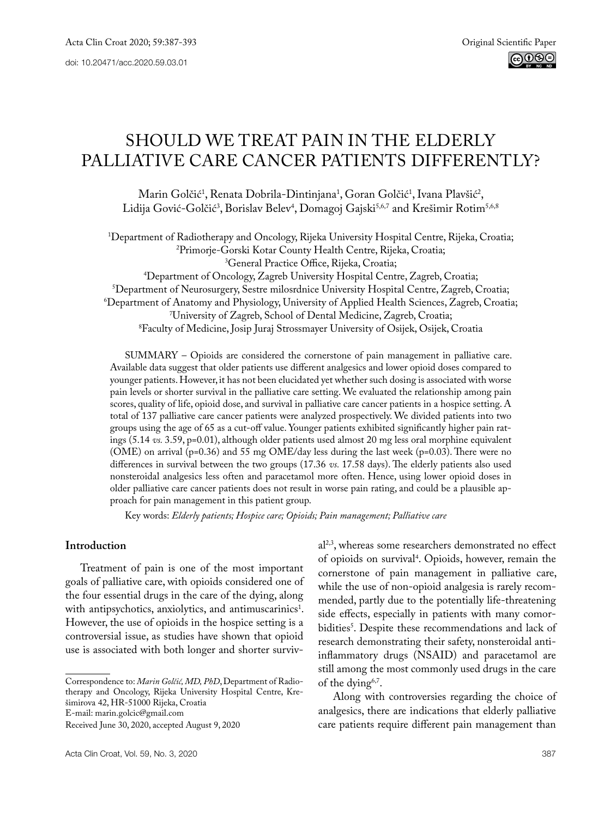# Should we treat pain in the elderly palliative care cancer patients differently?

Marin Golčić<sup>1</sup>, Renata Dobrila-Dintinjana<sup>1</sup>, Goran Golčić<sup>1</sup>, Ivana Plavšić<sup>2</sup>, Lidija Gović-Golčić<sup>3</sup>, Borislav Belev<sup>4</sup>, Domagoj Gajski<sup>5,6,7</sup> and Krešimir Rotim<sup>5,6,8</sup>

1 Department of Radiotherapy and Oncology, Rijeka University Hospital Centre, Rijeka, Croatia; 2 <sup>2</sup>Primorje-Gorski Kotar County Health Centre, Rijeka, Croatia;<br><sup>3</sup>General Practice Office, Rijeka, Croatia;

<sup>4</sup>Department of Oncology, Zagreb University Hospital Centre, Zagreb, Croatia; <sup>5</sup>Department of Neurosurgery, Sestre milosrdnice University Hospital Centre, Zagreb, Croatia; <sup>3</sup>Department of Neurosurgery, Sestre milosrdnice University Hospital Centre, Zagreb, Croatia;<br>16) Department of Anatomy and Physiology. University of Applied Health Sciences. Zagreb. Croati<sup>6</sup> Department of Anatomy and Physiology, University of Applied Health Sciences, Zagreb, Croatia; 7 University of Zagreb, School of Dental Medicine, Zagreb, Croatia; 8 Faculty of Medicine, Josip Juraj Strossmayer University of Osijek, Osijek, Croatia

SUMMARY – Opioids are considered the cornerstone of pain management in palliative care. Available data suggest that older patients use different analgesics and lower opioid doses compared to younger patients. However, it has not been elucidated yet whether such dosing is associated with worse pain levels or shorter survival in the palliative care setting. We evaluated the relationship among pain scores, quality of life, opioid dose, and survival in palliative care cancer patients in a hospice setting. A total of 137 palliative care cancer patients were analyzed prospectively. We divided patients into two groups using the age of 65 as a cut-off value. Younger patients exhibited significantly higher pain ratings (5.14 *vs.* 3.59, p=0.01), although older patients used almost 20 mg less oral morphine equivalent (OME) on arrival (p=0.36) and 55 mg OME/day less during the last week (p=0.03). There were no differences in survival between the two groups (17.36 *vs.* 17.58 days). The elderly patients also used nonsteroidal analgesics less often and paracetamol more often. Hence, using lower opioid doses in older palliative care cancer patients does not result in worse pain rating, and could be a plausible approach for pain management in this patient group.

Key words: *Elderly patients; Hospice care; Opioids; Pain management; Palliative care*

# **Introduction**

Treatment of pain is one of the most important goals of palliative care, with opioids considered one of the four essential drugs in the care of the dying, along with antipsychotics, anxiolytics, and antimuscarinics<sup>1</sup>. However, the use of opioids in the hospice setting is a controversial issue, as studies have shown that opioid use is associated with both longer and shorter surviv-

al2,3, whereas some researchers demonstrated no effect of opioids on survival<sup>4</sup>. Opioids, however, remain the cornerstone of pain management in palliative care, while the use of non-opioid analgesia is rarely recommended, partly due to the potentially life-threatening side effects, especially in patients with many comorbidities<sup>5</sup>. Despite these recommendations and lack of research demonstrating their safety, nonsteroidal antiinflammatory drugs (NSAID) and paracetamol are still among the most commonly used drugs in the care of the dying<sup>6,7</sup>.

Along with controversies regarding the choice of analgesics, there are indications that elderly palliative care patients require different pain management than

Correspondence to: *Marin Golčić, MD, PhD*, Department of Radiotherapy and Oncology, Rijeka University Hospital Centre, Krešimirova 42, HR-51000 Rijeka, Croatia

E-mail: marin.golcic@gmail.com

Received June 30, 2020, accepted August 9, 2020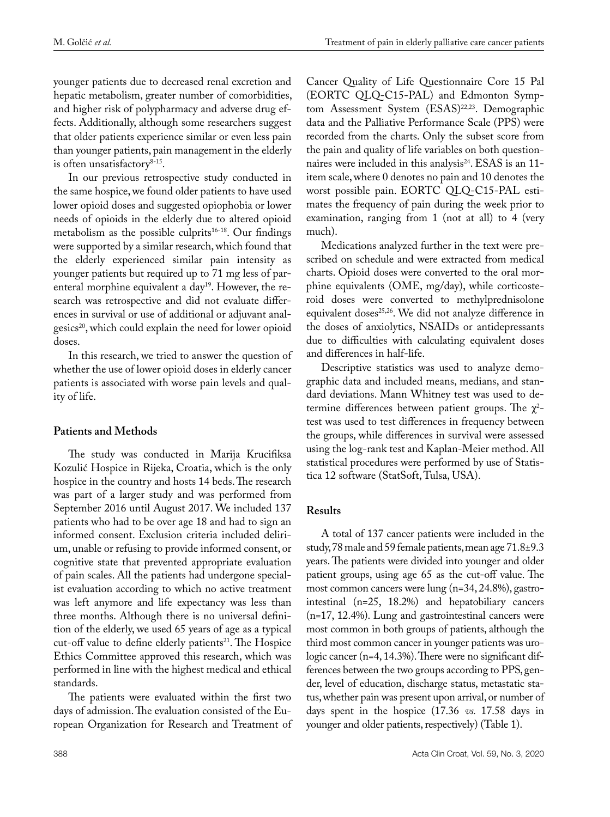younger patients due to decreased renal excretion and hepatic metabolism, greater number of comorbidities, and higher risk of polypharmacy and adverse drug effects. Additionally, although some researchers suggest that older patients experience similar or even less pain than younger patients, pain management in the elderly is often unsatisfactory $8-15$ .

In our previous retrospective study conducted in the same hospice, we found older patients to have used lower opioid doses and suggested opiophobia or lower needs of opioids in the elderly due to altered opioid metabolism as the possible culprits $16-18$ . Our findings were supported by a similar research, which found that the elderly experienced similar pain intensity as younger patients but required up to 71 mg less of parenteral morphine equivalent a day<sup>19</sup>. However, the research was retrospective and did not evaluate differences in survival or use of additional or adjuvant analgesics<sup>20</sup>, which could explain the need for lower opioid doses.

In this research, we tried to answer the question of whether the use of lower opioid doses in elderly cancer patients is associated with worse pain levels and quality of life.

# **Patients and Methods**

The study was conducted in Marija Krucifiksa Kozulić Hospice in Rijeka, Croatia, which is the only hospice in the country and hosts 14 beds. The research was part of a larger study and was performed from September 2016 until August 2017. We included 137 patients who had to be over age 18 and had to sign an informed consent. Exclusion criteria included delirium, unable or refusing to provide informed consent, or cognitive state that prevented appropriate evaluation of pain scales. All the patients had undergone specialist evaluation according to which no active treatment was left anymore and life expectancy was less than three months. Although there is no universal definition of the elderly, we used 65 years of age as a typical cut-off value to define elderly patients<sup>21</sup>. The Hospice Ethics Committee approved this research, which was performed in line with the highest medical and ethical standards.

The patients were evaluated within the first two days of admission. The evaluation consisted of the European Organization for Research and Treatment of

Cancer Quality of Life Questionnaire Core 15 Pal (EORTC QLQ-C15-PAL) and Edmonton Symptom Assessment System (ESAS)<sup>22,23</sup>. Demographic data and the Palliative Performance Scale (PPS) were recorded from the charts. Only the subset score from the pain and quality of life variables on both questionnaires were included in this analysis<sup>24</sup>. ESAS is an 11item scale, where 0 denotes no pain and 10 denotes the worst possible pain. EORTC QLQ-C15-PAL estimates the frequency of pain during the week prior to examination, ranging from 1 (not at all) to 4 (very much).

Medications analyzed further in the text were prescribed on schedule and were extracted from medical charts. Opioid doses were converted to the oral morphine equivalents (OME, mg/day), while corticosteroid doses were converted to methylprednisolone equivalent doses<sup>25,26</sup>. We did not analyze difference in the doses of anxiolytics, NSAIDs or antidepressants due to difficulties with calculating equivalent doses and differences in half-life.

Descriptive statistics was used to analyze demographic data and included means, medians, and standard deviations. Mann Whitney test was used to determine differences between patient groups. The  $\chi^2$ test was used to test differences in frequency between the groups, while differences in survival were assessed using the log-rank test and Kaplan-Meier method. All statistical procedures were performed by use of Statistica 12 software (StatSoft, Tulsa, USA).

# **Results**

A total of 137 cancer patients were included in the study, 78 male and 59 female patients, mean age 71.8±9.3 years. The patients were divided into younger and older patient groups, using age 65 as the cut-off value. The most common cancers were lung (n=34, 24.8%), gastrointestinal (n=25, 18.2%) and hepatobiliary cancers (n=17, 12.4%). Lung and gastrointestinal cancers were most common in both groups of patients, although the third most common cancer in younger patients was urologic cancer (n=4, 14.3%). There were no significant differences between the two groups according to PPS, gender, level of education, discharge status, metastatic status, whether pain was present upon arrival, or number of days spent in the hospice (17.36 *vs.* 17.58 days in younger and older patients, respectively) (Table 1).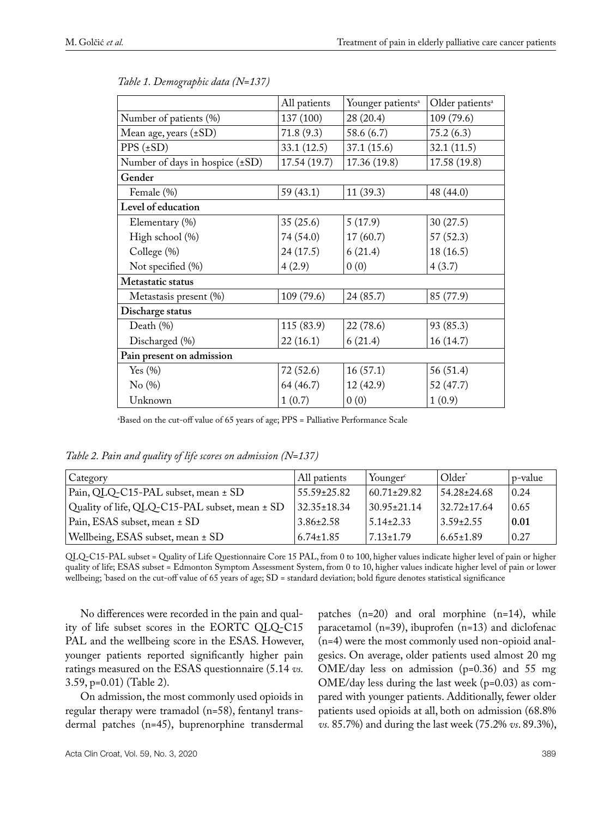|                                 | All patients | Younger patients <sup>a</sup> | Older patients <sup>a</sup> |  |  |  |
|---------------------------------|--------------|-------------------------------|-----------------------------|--|--|--|
| Number of patients (%)          | 137 (100)    | 28 (20.4)                     | 109 (79.6)                  |  |  |  |
| Mean age, years (±SD)           | 71.8(9.3)    | 58.6 (6.7)                    | 75.2(6.3)                   |  |  |  |
| $PPS (\pm SD)$                  | 33.1(12.5)   | 37.1 (15.6)                   | 32.1(11.5)                  |  |  |  |
| Number of days in hospice (±SD) | 17.54 (19.7) | 17.36 (19.8)                  | 17.58 (19.8)                |  |  |  |
| Gender                          |              |                               |                             |  |  |  |
| Female (%)                      | 59 (43.1)    | 11(39.3)                      | 48 (44.0)                   |  |  |  |
| Level of education              |              |                               |                             |  |  |  |
| Elementary (%)                  | 35(25.6)     | 5(17.9)                       | 30(27.5)                    |  |  |  |
| High school (%)                 | 74 (54.0)    | 17(60.7)                      | 57(52.3)                    |  |  |  |
| College (%)                     | 24(17.5)     | 6(21.4)                       | 18(16.5)                    |  |  |  |
| Not specified (%)               | 4(2.9)       | 0(0)                          | 4(3.7)                      |  |  |  |
| Metastatic status               |              |                               |                             |  |  |  |
| Metastasis present (%)          | 109 (79.6)   | 24 (85.7)                     | 85 (77.9)                   |  |  |  |
| Discharge status                |              |                               |                             |  |  |  |
| Death (%)                       | 115 (83.9)   | 22 (78.6)                     | 93 (85.3)                   |  |  |  |
| Discharged (%)                  | 22(16.1)     | 6(21.4)                       | 16(14.7)                    |  |  |  |
| Pain present on admission       |              |                               |                             |  |  |  |
| Yes $(\% )$                     | 72(52.6)     | 16(57.1)                      | 56 (51.4)                   |  |  |  |
| No(%)                           | 64 (46.7)    | 12 (42.9)                     | 52 (47.7)                   |  |  |  |
| Unknown                         | 1(0.7)       | 0(0)                          | 1(0.9)                      |  |  |  |

| Table 1. Demographic data (N=137) |  |
|-----------------------------------|--|
|-----------------------------------|--|

a Based on the cut-off value of 65 years of age; PPS = Palliative Performance Scale

*Table 2. Pain and quality of life scores on admission (N=137)*

| Category                                       | All patients      | Younger <sup>c</sup> | . Older*          | p-value |
|------------------------------------------------|-------------------|----------------------|-------------------|---------|
| Pain, QLQ-C15-PAL subset, mean ± SD            | $55.59 \pm 25.82$ | $60.71 \pm 29.82$    | 54.28±24.68       | 0.24    |
| Quality of life, QLQ-C15-PAL subset, mean ± SD | $32.35 \pm 18.34$ | $30.95 \pm 21.14$    | $32.72 \pm 17.64$ | 0.65    |
| Pain, ESAS subset, mean ± SD                   | $3.86 \pm 2.58$   | $5.14 \pm 2.33$      | $3.59 \pm 2.55$   | 0.01    |
| Wellbeing, ESAS subset, mean ± SD              | $6.74 \pm 1.85$   | $7.13 + 1.79$        | $6.65 \pm 1.89$   | 0.27    |

QLQ-C15-PAL subset = Quality of Life Questionnaire Core 15 Pal, from 0 to 100, higher values indicate higher level of pain or higher quality of life; ESAS subset = Edmonton Symptom Assessment System, from 0 to 10, higher values indicate higher level of pain or lower wellbeing; `based on the cut-off value of 65 years of age;  $\rm SD$  = standard deviation; bold figure denotes statistical significance

No differences were recorded in the pain and quality of life subset scores in the EORTC QLQ-C15 PAL and the wellbeing score in the ESAS. However, younger patients reported significantly higher pain ratings measured on the ESAS questionnaire (5.14 *vs.*  3.59, p=0.01) (Table 2).

On admission, the most commonly used opioids in regular therapy were tramadol (n=58), fentanyl transdermal patches (n=45), buprenorphine transdermal

patches (n=20) and oral morphine (n=14), while paracetamol (n=39), ibuprofen (n=13) and diclofenac (n=4) were the most commonly used non-opioid analgesics. On average, older patients used almost 20 mg OME/day less on admission (p=0.36) and 55 mg OME/day less during the last week (p=0.03) as compared with younger patients. Additionally, fewer older patients used opioids at all, both on admission (68.8% *vs.* 85.7%) and during the last week (75.2% *vs*. 89.3%),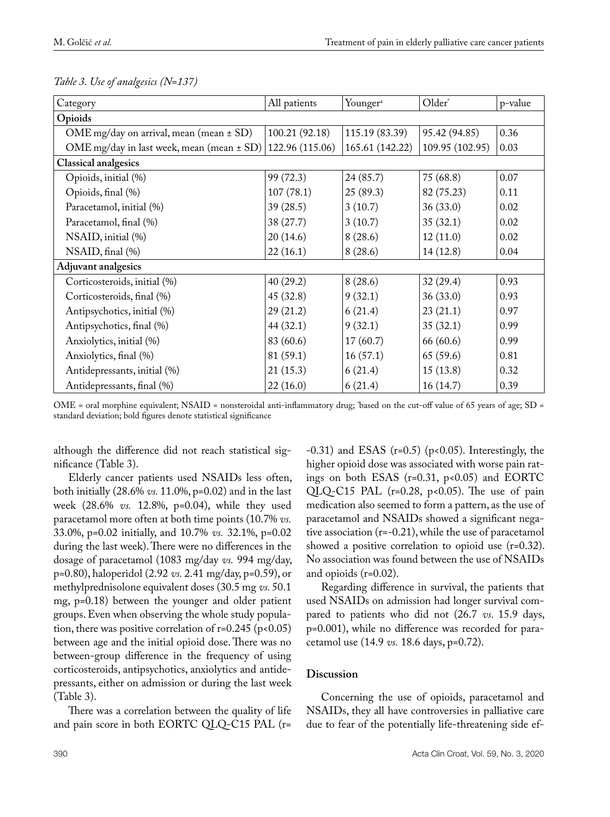| Category                                      | All patients    | Younger <sup>a</sup> | Older*          | p-value |  |
|-----------------------------------------------|-----------------|----------------------|-----------------|---------|--|
| Opioids                                       |                 |                      |                 |         |  |
| OME mg/day on arrival, mean (mean $\pm$ SD)   | 100.21 (92.18)  | 115.19 (83.39)       | 95.42 (94.85)   | 0.36    |  |
| OME mg/day in last week, mean (mean $\pm$ SD) | 122.96 (115.06) | 165.61 (142.22)      | 109.95 (102.95) | 0.03    |  |
| <b>Classical analgesics</b>                   |                 |                      |                 |         |  |
| Opioids, initial (%)                          | 99 (72.3)       | 24(85.7)             | 75(68.8)        | 0.07    |  |
| Opioids, final (%)                            | 107(78.1)       | 25(89.3)             | 82 (75.23)      | 0.11    |  |
| Paracetamol, initial (%)                      | 39(28.5)        | 3(10.7)              | 36(33.0)        | 0.02    |  |
| Paracetamol, final (%)                        | 38 (27.7)       | 3(10.7)              | 35(32.1)        | 0.02    |  |
| NSAID, initial (%)                            | 20(14.6)        | 8(28.6)              | 12(11.0)        | 0.02    |  |
| NSAID, final (%)                              | 22(16.1)        | 8(28.6)              | 14(12.8)        | 0.04    |  |
| Adjuvant analgesics                           |                 |                      |                 |         |  |
| Corticosteroids, initial (%)                  | 40(29.2)        | 8(28.6)              | 32(29.4)        | 0.93    |  |
| Corticosteroids, final (%)                    | 45(32.8)        | 9(32.1)              | 36(33.0)        | 0.93    |  |
| Antipsychotics, initial (%)                   | 29(21.2)        | 6(21.4)              | 23(21.1)        | 0.97    |  |
| Antipsychotics, final (%)                     | 44(32.1)        | 9(32.1)              | 35(32.1)        | 0.99    |  |
| Anxiolytics, initial (%)                      | 83 (60.6)       | 17(60.7)             | 66 (60.6)       | 0.99    |  |
| Anxiolytics, final (%)                        | 81 (59.1)       | 16(57.1)             | 65(59.6)        | 0.81    |  |
| Antidepressants, initial (%)                  | 21(15.3)        | 6(21.4)              | 15(13.8)        | 0.32    |  |
| Antidepressants, final (%)                    | 22(16.0)        | 6(21.4)              | 16(14.7)        | 0.39    |  |

*Table 3. Use of analgesics (N=137)*

OME = oral morphine equivalent; NSAID = nonsteroidal anti-inflammatory drug; \* based on the cut-off value of 65 years of age; SD = standard deviation; bold figures denote statistical significance

although the difference did not reach statistical significance (Table 3).

Elderly cancer patients used NSAIDs less often, both initially (28.6% *vs.* 11.0%, p=0.02) and in the last week (28.6% *vs.* 12.8%, p=0.04), while they used paracetamol more often at both time points (10.7% *vs.* 33.0%, p=0.02 initially, and 10.7% *vs.* 32.1%, p=0.02 during the last week). There were no differences in the dosage of paracetamol (1083 mg/day *vs.* 994 mg/day, p=0.80), haloperidol (2.92 *vs.* 2.41 mg/day, p=0.59), or methylprednisolone equivalent doses (30.5 mg *vs.* 50.1 mg, p=0.18) between the younger and older patient groups. Even when observing the whole study population, there was positive correlation of  $r=0.245$  ( $p<0.05$ ) between age and the initial opioid dose. There was no between-group difference in the frequency of using corticosteroids, antipsychotics, anxiolytics and antidepressants, either on admission or during the last week (Table 3).

There was a correlation between the quality of life and pain score in both EORTC QLQ-C15 PAL (r=

 $-0.31$ ) and ESAS (r=0.5) (p<0.05). Interestingly, the higher opioid dose was associated with worse pain ratings on both ESAS ( $r=0.31$ ,  $p<0.05$ ) and EORTC QLQ-C15 PAL ( $r=0.28$ ,  $p<0.05$ ). The use of pain medication also seemed to form a pattern, as the use of paracetamol and NSAIDs showed a significant negative association (r=-0.21), while the use of paracetamol showed a positive correlation to opioid use (r=0.32). No association was found between the use of NSAIDs and opioids (r=0.02).

Regarding difference in survival, the patients that used NSAIDs on admission had longer survival compared to patients who did not (26.7 *vs.* 15.9 days, p=0.001), while no difference was recorded for paracetamol use (14.9 *vs.* 18.6 days, p=0.72).

# **Discussion**

Concerning the use of opioids, paracetamol and NSAIDs, they all have controversies in palliative care due to fear of the potentially life-threatening side ef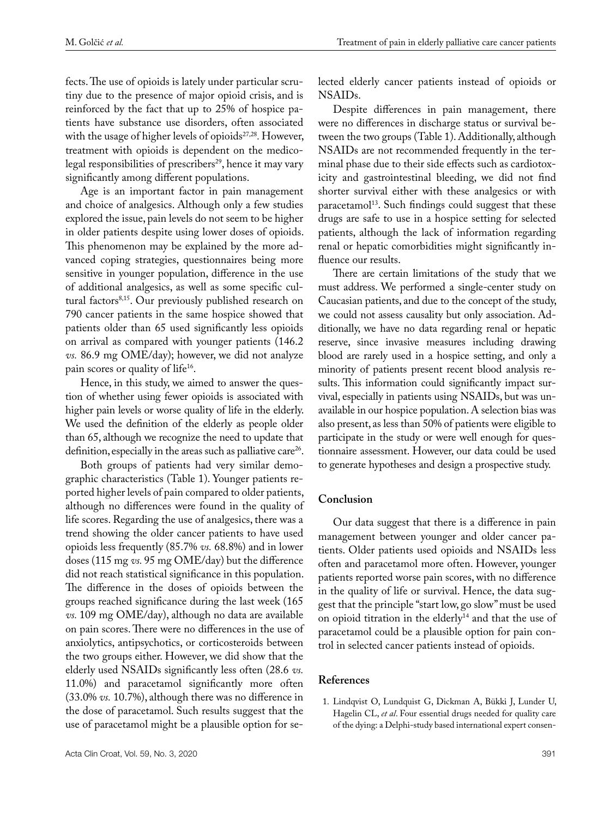fects. The use of opioids is lately under particular scrutiny due to the presence of major opioid crisis, and is reinforced by the fact that up to 25% of hospice patients have substance use disorders, often associated with the usage of higher levels of opioids<sup>27,28</sup>. However, treatment with opioids is dependent on the medicolegal responsibilities of prescribers<sup>29</sup>, hence it may vary significantly among different populations.

Age is an important factor in pain management and choice of analgesics. Although only a few studies explored the issue, pain levels do not seem to be higher in older patients despite using lower doses of opioids. This phenomenon may be explained by the more advanced coping strategies, questionnaires being more sensitive in younger population, difference in the use of additional analgesics, as well as some specific cultural factors<sup>8,15</sup>. Our previously published research on 790 cancer patients in the same hospice showed that patients older than 65 used significantly less opioids on arrival as compared with younger patients (146.2 *vs.* 86.9 mg OME/day); however, we did not analyze pain scores or quality of life<sup>16</sup>.

Hence, in this study, we aimed to answer the question of whether using fewer opioids is associated with higher pain levels or worse quality of life in the elderly. We used the definition of the elderly as people older than 65, although we recognize the need to update that definition, especially in the areas such as palliative care<sup>26</sup>.

Both groups of patients had very similar demographic characteristics (Table 1). Younger patients reported higher levels of pain compared to older patients, although no differences were found in the quality of life scores. Regarding the use of analgesics, there was a trend showing the older cancer patients to have used opioids less frequently (85.7% *vs.* 68.8%) and in lower doses (115 mg *vs.* 95 mg OME/day) but the difference did not reach statistical significance in this population. The difference in the doses of opioids between the groups reached significance during the last week (165 *vs.* 109 mg OME/day), although no data are available on pain scores. There were no differences in the use of anxiolytics, antipsychotics, or corticosteroids between the two groups either. However, we did show that the elderly used NSAIDs significantly less often (28.6 *vs.*  11.0%) and paracetamol significantly more often (33.0% *vs.* 10.7%), although there was no difference in the dose of paracetamol. Such results suggest that the use of paracetamol might be a plausible option for selected elderly cancer patients instead of opioids or NSAIDs.

Despite differences in pain management, there were no differences in discharge status or survival between the two groups (Table 1). Additionally, although NSAIDs are not recommended frequently in the terminal phase due to their side effects such as cardiotoxicity and gastrointestinal bleeding, we did not find shorter survival either with these analgesics or with paracetamol<sup>13</sup>. Such findings could suggest that these drugs are safe to use in a hospice setting for selected patients, although the lack of information regarding renal or hepatic comorbidities might significantly influence our results.

There are certain limitations of the study that we must address. We performed a single-center study on Caucasian patients, and due to the concept of the study, we could not assess causality but only association. Additionally, we have no data regarding renal or hepatic reserve, since invasive measures including drawing blood are rarely used in a hospice setting, and only a minority of patients present recent blood analysis results. This information could significantly impact survival, especially in patients using NSAIDs, but was unavailable in our hospice population. A selection bias was also present, as less than 50% of patients were eligible to participate in the study or were well enough for questionnaire assessment. However, our data could be used to generate hypotheses and design a prospective study.

# **Conclusion**

Our data suggest that there is a difference in pain management between younger and older cancer patients. Older patients used opioids and NSAIDs less often and paracetamol more often. However, younger patients reported worse pain scores, with no difference in the quality of life or survival. Hence, the data suggest that the principle "start low, go slow" must be used on opioid titration in the elderly<sup>14</sup> and that the use of paracetamol could be a plausible option for pain control in selected cancer patients instead of opioids.

#### **References**

1. Lindqvist O, Lundquist G, Dickman A, Bükki J, Lunder U, Hagelin CL, *et al*. Four essential drugs needed for quality care of the dying: a Delphi-study based international expert consen-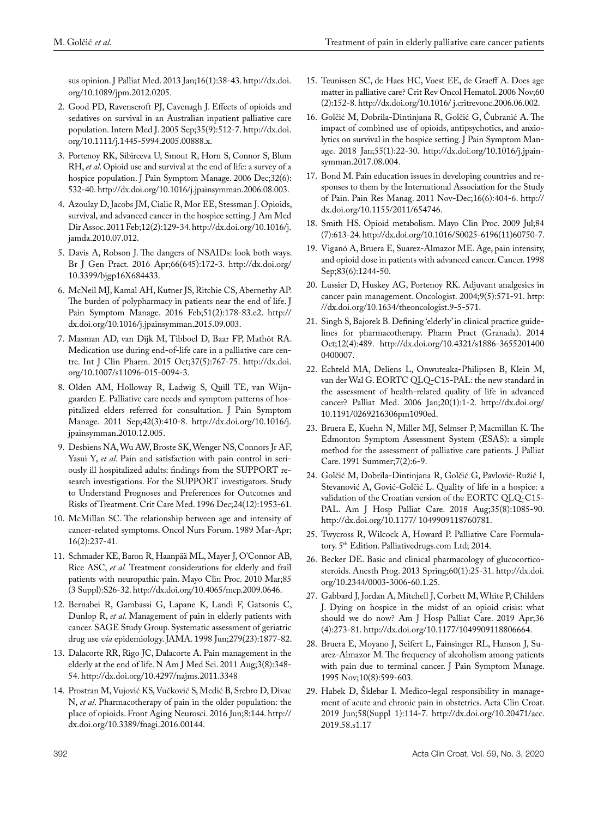sus opinion. [J Palliat Med.](https://www.ncbi.nlm.nih.gov/pubmed/23234300) 2013 Jan;16(1):38-43. http://dx.doi. org/10.1089/jpm.2012.0205.

- 2. [Good PD,](https://www.ncbi.nlm.nih.gov/pubmed/?term=Good PD%5BAuthor%5D&cauthor=true&cauthor_uid=16105151) [Ravenscroft PJ,](https://www.ncbi.nlm.nih.gov/pubmed/?term=Ravenscroft PJ%5BAuthor%5D&cauthor=true&cauthor_uid=16105151) [Cavenagh J](https://www.ncbi.nlm.nih.gov/pubmed/?term=Cavenagh J%5BAuthor%5D&cauthor=true&cauthor_uid=16105151). Effects of opioids and sedatives on survival in an Australian inpatient palliative care population. [Intern Med J.](https://www.ncbi.nlm.nih.gov/pubmed/16105151) 2005 Sep;35(9):512-7. http://dx.doi. org[/10.1111/j.1445-5994.2005.00888.x](https://doi.org/10.1111/j.1445-5994.2005.00888.x).
- 3. [Portenoy RK,](https://www.ncbi.nlm.nih.gov/pubmed/?term=Portenoy RK%5BAuthor%5D&cauthor=true&cauthor_uid=17157755) [Sibirceva U](https://www.ncbi.nlm.nih.gov/pubmed/?term=Sibirceva U%5BAuthor%5D&cauthor=true&cauthor_uid=17157755), [Smout R,](https://www.ncbi.nlm.nih.gov/pubmed/?term=Smout R%5BAuthor%5D&cauthor=true&cauthor_uid=17157755) Horn S, Connor S, Blum RH, *et al*. Opioid use and survival at the end of life: a survey of a hospice population. [J Pain Symptom Manage.](https://www.ncbi.nlm.nih.gov/pubmed/17157755) 2006 Dec;32(6): 532-40. http://dx.doi.org/[10.1016/j.jpainsymman.2006.08.003.](https://doi.org/10.1016/j.jpainsymman.2006.08.003)
- 4. [Azoulay D](https://www.ncbi.nlm.nih.gov/pubmed/?term=Azoulay D%5BAuthor%5D&cauthor=true&cauthor_uid=21266289), [Jacobs JM](https://www.ncbi.nlm.nih.gov/pubmed/?term=Jacobs JM%5BAuthor%5D&cauthor=true&cauthor_uid=21266289), [Cialic R](https://www.ncbi.nlm.nih.gov/pubmed/?term=Cialic R%5BAuthor%5D&cauthor=true&cauthor_uid=21266289), [Mor EE,](https://www.ncbi.nlm.nih.gov/pubmed/?term=Mor EE%5BAuthor%5D&cauthor=true&cauthor_uid=21266289) [Stessman J](https://www.ncbi.nlm.nih.gov/pubmed/?term=Stessman J%5BAuthor%5D&cauthor=true&cauthor_uid=21266289). Opioids, survival, and advanced cancer in the hospice setting. [J Am Med](https://www.ncbi.nlm.nih.gov/pubmed/21266289)  [Dir Assoc.](https://www.ncbi.nlm.nih.gov/pubmed/21266289) 2011 Feb;12(2):129-34. http://dx.doi.org/10.1016/j. jamda.2010.07.012.
- 5. Davis A, Robson J. The dangers of NSAIDs: look both ways. [Br J Gen Pract.](https://www.ncbi.nlm.nih.gov/pmc/articles/PMC4809680/) 2016 Apr;66(645):172-3. http://dx.doi.org/ [10.3399/bjgp16X684433.](https://dx.doi.org/10.3399%2Fbjgp16X684433)
- 6. McNeil MJ, [Kamal AH](https://www.ncbi.nlm.nih.gov/pubmed/?term=Kamal AH%5BAuthor%5D&cauthor=true&cauthor_uid=26432571), [Kutner JS,](https://www.ncbi.nlm.nih.gov/pubmed/?term=Kutner JS%5BAuthor%5D&cauthor=true&cauthor_uid=26432571) [Ritchie CS](https://www.ncbi.nlm.nih.gov/pubmed/?term=Ritchie CS%5BAuthor%5D&cauthor=true&cauthor_uid=26432571), [Abernethy AP](https://www.ncbi.nlm.nih.gov/pubmed/?term=Abernethy AP%5BAuthor%5D&cauthor=true&cauthor_uid=26432571). The burden of polypharmacy in patients near the end of life. [J](https://www.ncbi.nlm.nih.gov/pubmed/26432571)  [Pain Symptom Manage.](https://www.ncbi.nlm.nih.gov/pubmed/26432571) 2016 Feb;51(2):178-83.e2. http:// dx.doi.org/10.1016/j.jpainsymman.2015.09.003.
- 7. [Masman AD](https://www.ncbi.nlm.nih.gov/pubmed/?term=Masman AD%5BAuthor%5D&cauthor=true&cauthor_uid=25854310), [van Dijk M](https://www.ncbi.nlm.nih.gov/pubmed/?term=van Dijk M%5BAuthor%5D&cauthor=true&cauthor_uid=25854310), [Tibboel D](https://www.ncbi.nlm.nih.gov/pubmed/?term=Tibboel D%5BAuthor%5D&cauthor=true&cauthor_uid=25854310), [Baar FP](https://www.ncbi.nlm.nih.gov/pubmed/?term=Baar FP%5BAuthor%5D&cauthor=true&cauthor_uid=25854310), [Mathôt RA](https://www.ncbi.nlm.nih.gov/pubmed/?term=Math%C3%B4t RA%5BAuthor%5D&cauthor=true&cauthor_uid=25854310). Medication use during end-of-life care in a palliative care centre. [Int J Clin Pharm.](https://www.ncbi.nlm.nih.gov/pubmed/25854310) 2015 Oct;37(5):767-75. http://dx.doi. org/10.1007/s11096-015-0094-3.
- 8. [Olden AM,](https://www.ncbi.nlm.nih.gov/pubmed/?term=Olden AM%5BAuthor%5D&cauthor=true&cauthor_uid=21444188) [Holloway R,](https://www.ncbi.nlm.nih.gov/pubmed/?term=Holloway R%5BAuthor%5D&cauthor=true&cauthor_uid=21444188) [Ladwig S](https://www.ncbi.nlm.nih.gov/pubmed/?term=Ladwig S%5BAuthor%5D&cauthor=true&cauthor_uid=21444188), [Quill TE,](https://www.ncbi.nlm.nih.gov/pubmed/?term=Quill TE%5BAuthor%5D&cauthor=true&cauthor_uid=21444188) [van Wijn](https://www.ncbi.nlm.nih.gov/pubmed/?term=van Wijngaarden E%5BAuthor%5D&cauthor=true&cauthor_uid=21444188)[gaarden E](https://www.ncbi.nlm.nih.gov/pubmed/?term=van Wijngaarden E%5BAuthor%5D&cauthor=true&cauthor_uid=21444188). Palliative care needs and symptom patterns of hospitalized elders referred for consultation. [J Pain Symptom](https://www.ncbi.nlm.nih.gov/pubmed/21444188)  [Manage.](https://www.ncbi.nlm.nih.gov/pubmed/21444188) 2011 Sep;42(3):410-8. http://dx.doi.org/10.1016/j. jpainsymman.2010.12.005.
- 9. [Desbiens NA](https://www.ncbi.nlm.nih.gov/pubmed/?term=Desbiens NA%5BAuthor%5D&cauthor=true&cauthor_uid=8968261), [Wu AW,](https://www.ncbi.nlm.nih.gov/pubmed/?term=Wu AW%5BAuthor%5D&cauthor=true&cauthor_uid=8968261) [Broste SK](https://www.ncbi.nlm.nih.gov/pubmed/?term=Broste SK%5BAuthor%5D&cauthor=true&cauthor_uid=8968261), Wenger NS, Connors Jr AF, Yasui Y, *et al*. Pain and satisfaction with pain control in seriously ill hospitalized adults: findings from the SUPPORT research investigations. For the SUPPORT investigators. Study to Understand Prognoses and Preferences for Outcomes and Risks of Treatment. [Crit Care Med.](https://www.ncbi.nlm.nih.gov/pubmed/8968261) 1996 Dec;24(12):1953-61.
- 10. [McMillan SC](https://www.ncbi.nlm.nih.gov/pubmed/?term=McMillan SC%5BAuthor%5D&cauthor=true&cauthor_uid=2928272). The relationship between age and intensity of cancer-related symptoms. [Oncol Nurs Forum.](https://www.ncbi.nlm.nih.gov/pubmed/2928272) 1989 Mar-Apr; 16(2):237-41.
- 11. [Schmader KE,](https://www.ncbi.nlm.nih.gov/pubmed/?term=Schmader KE%5BAuthor%5D&cauthor=true&cauthor_uid=20194145) [Baron R,](https://www.ncbi.nlm.nih.gov/pubmed/?term=Baron R%5BAuthor%5D&cauthor=true&cauthor_uid=20194145) [Haanpää ML](https://www.ncbi.nlm.nih.gov/pubmed/?term=Haanp%C3%A4%C3%A4 ML%5BAuthor%5D&cauthor=true&cauthor_uid=20194145), Mayer J, O'Connor AB, Rice ASC, *et al.* Treatment considerations for elderly and frail patients with neuropathic pain. [Mayo Clin Proc.](https://www.ncbi.nlm.nih.gov/pubmed/20194145) 2010 Mar;85 (3 Suppl):S26-32. http://dx.doi.org/10.4065/mcp.2009.0646.
- 12. [Bernabei R,](https://www.ncbi.nlm.nih.gov/pubmed/?term=Bernabei R%5BAuthor%5D&cauthor=true&cauthor_uid=9634258) [Gambassi G](https://www.ncbi.nlm.nih.gov/pubmed/?term=Gambassi G%5BAuthor%5D&cauthor=true&cauthor_uid=9634258), [Lapane K](https://www.ncbi.nlm.nih.gov/pubmed/?term=Lapane K%5BAuthor%5D&cauthor=true&cauthor_uid=9634258), Landi F, Gatsonis C, Dunlop R, *et al*. Management of pain in elderly patients with cancer. SAGE Study Group. Systematic assessment of geriatric drug use *via* epidemiology. [JAMA.](https://www.ncbi.nlm.nih.gov/pubmed/9634258) 1998 Jun;279(23):1877-82.
- 13. Dalacorte RR, Rigo JC, Dalacorte A. Pain management in the elderly at the end of life. [N Am J Med Sci](https://www.ncbi.nlm.nih.gov/pmc/articles/PMC3234146/). 2011 Aug;3(8):348- 54. http://dx.doi.org/[10.4297/najms.2011.3348](https://doi.org/10.4297/najms.2011.3348)
- 14. [Prostran M](https://www.ncbi.nlm.nih.gov/pubmed/?term=Prostran M%5BAuthor%5D&cauthor=true&cauthor_uid=27378916), [Vujović KS,](https://www.ncbi.nlm.nih.gov/pubmed/?term=Vujovi%C4%87 KS%5BAuthor%5D&cauthor=true&cauthor_uid=27378916) [Vučković S,](https://www.ncbi.nlm.nih.gov/pubmed/?term=Vu%C4%8Dkovi%C4%87 S%5BAuthor%5D&cauthor=true&cauthor_uid=27378916) Medić B, Srebro D, Divac N, *et al*. Pharmacotherapy of pain in the older population: the place of opioids. [Front Aging Neurosci.](https://www.ncbi.nlm.nih.gov/pubmed/27378916) 2016 Jun;8:144. http:// dx.doi.org/10.3389/fnagi.2016.00144.
- 15. [Teunissen SC,](https://www.ncbi.nlm.nih.gov/pubmed/?term=Teunissen SC%5BAuthor%5D&cauthor=true&cauthor_uid=17023174) [de Haes HC](https://www.ncbi.nlm.nih.gov/pubmed/?term=de Haes HC%5BAuthor%5D&cauthor=true&cauthor_uid=17023174), [Voest EE,](https://www.ncbi.nlm.nih.gov/pubmed/?term=Voest EE%5BAuthor%5D&cauthor=true&cauthor_uid=17023174) [de Graeff A](https://www.ncbi.nlm.nih.gov/pubmed/?term=de Graeff A%5BAuthor%5D&cauthor=true&cauthor_uid=17023174). Does age matter in palliative care? [Crit Rev Oncol Hematol.](https://www.ncbi.nlm.nih.gov/pubmed/17023174) 2006 Nov;60 (2):152-8.<http://dx.doi.org/10.1016/>j.critrevonc.2006.06.002.
- 16. [Golčić M,](https://www.ncbi.nlm.nih.gov/pubmed/?term=Gol%C4%8Di%C4%87 M%5BAuthor%5D&cauthor=true&cauthor_uid=28803083) [Dobrila-Dintinjana R](https://www.ncbi.nlm.nih.gov/pubmed/?term=Dobrila-Dintinjana R%5BAuthor%5D&cauthor=true&cauthor_uid=28803083), [Golčić G,](https://www.ncbi.nlm.nih.gov/pubmed/?term=Gol%C4%8Di%C4%87 G%5BAuthor%5D&cauthor=true&cauthor_uid=28803083) [Čubranić A.](https://www.ncbi.nlm.nih.gov/pubmed/?term=%C4%8Cubrani%C4%87 A%5BAuthor%5D&cauthor=true&cauthor_uid=28803083) The impact of combined use of opioids, antipsychotics, and anxiolytics on survival in the hospice setting. [J Pain Symptom Man](https://www.ncbi.nlm.nih.gov/pubmed/28803083)[age.](https://www.ncbi.nlm.nih.gov/pubmed/28803083) 2018 Jan;55(1):22-30. http://dx.doi.org/10.1016/j.jpainsymman.2017.08.004.
- 17. Bond M. Pain education issues in developing countries and responses to them by the International Association for the Study of Pain. [Pain Res Manag.](https://www.ncbi.nlm.nih.gov/pmc/articles/PMC3298046/) 2011 Nov-Dec;16(6):404-6. http:// dx.doi.org/[10.1155/2011/654746.](https://dx.doi.org/10.1155%2F2011%2F654746)
- 18. [Smith HS.](https://www.ncbi.nlm.nih.gov/pubmed/?term=Smith HS%5BAuthor%5D&cauthor=true&cauthor_uid=19567715) Opioid metabolism. [Mayo Clin Proc.](https://www.ncbi.nlm.nih.gov/pubmed/19567715) 2009 Jul;84 (7):613-24. http://dx.doi.org/10.1016/S0025-6196(11)60750-7.
- 19. [Viganó A,](https://www.ncbi.nlm.nih.gov/pubmed/?term=Vigan%C3%B3 A%5BAuthor%5D&cauthor=true&cauthor_uid=9740092) [Bruera E](https://www.ncbi.nlm.nih.gov/pubmed/?term=Bruera E%5BAuthor%5D&cauthor=true&cauthor_uid=9740092), [Suarez-Almazor ME](https://www.ncbi.nlm.nih.gov/pubmed/?term=Suarez-Almazor ME%5BAuthor%5D&cauthor=true&cauthor_uid=9740092). Age, pain intensity, and opioid dose in patients with advanced cancer. [Cancer.](https://www.ncbi.nlm.nih.gov/pubmed/9740092) 1998 Sep;83(6):1244-50.
- 20. [Lussier D,](https://www.ncbi.nlm.nih.gov/pubmed/?term=Lussier D%5BAuthor%5D&cauthor=true&cauthor_uid=15477643) [Huskey AG,](https://www.ncbi.nlm.nih.gov/pubmed/?term=Huskey AG%5BAuthor%5D&cauthor=true&cauthor_uid=15477643) [Portenoy RK.](https://www.ncbi.nlm.nih.gov/pubmed/?term=Portenoy RK%5BAuthor%5D&cauthor=true&cauthor_uid=15477643) Adjuvant analgesics in cancer pain management. [Oncologist.](https://www.ncbi.nlm.nih.gov/pubmed/15477643) 2004;9(5):571-91. http: //dx.doi.org/10.1634/theoncologist.9-5-571.
- 21. [Singh S,](https://www.ncbi.nlm.nih.gov/pubmed/?term=Singh S%5BAuthor%5D&cauthor=true&cauthor_uid=25580172) [Bajorek B.](https://www.ncbi.nlm.nih.gov/pubmed/?term=Bajorek B%5BAuthor%5D&cauthor=true&cauthor_uid=25580172) Defining 'elderly' in clinical practice guidelines for pharmacotherapy. [Pharm Pract \(Granada\).](https://www.ncbi.nlm.nih.gov/pubmed/25580172) 2014 Oct;12(4):489. http://dx.doi.org/10.4321/s1886-3655201400 0400007.
- 22. [Echteld MA](https://www.ncbi.nlm.nih.gov/pubmed/?term=Echteld MA%5BAuthor%5D&cauthor=true&cauthor_uid=16482751), [Deliens L](https://www.ncbi.nlm.nih.gov/pubmed/?term=Deliens L%5BAuthor%5D&cauthor=true&cauthor_uid=16482751), [Onwuteaka-Philipsen B](https://www.ncbi.nlm.nih.gov/pubmed/?term=Onwuteaka-Philipsen B%5BAuthor%5D&cauthor=true&cauthor_uid=16482751), [Klein M](https://www.ncbi.nlm.nih.gov/pubmed/?term=Klein M%5BAuthor%5D&cauthor=true&cauthor_uid=16482751), [van der Wal G](https://www.ncbi.nlm.nih.gov/pubmed/?term=van der Wal G%5BAuthor%5D&cauthor=true&cauthor_uid=16482751). EORTC QLQ-C15-PAL: the new standard in the assessment of health-related quality of life in advanced cancer? [Palliat Med.](https://www.ncbi.nlm.nih.gov/pubmed/16482751) 2006 Jan;20(1):1-2. http://dx.doi.org/ 10.1191/0269216306pm1090ed.
- 23. [Bruera E,](https://www.ncbi.nlm.nih.gov/pubmed/?term=Bruera E%5BAuthor%5D&cauthor=true&cauthor_uid=1714502) [Kuehn N](https://www.ncbi.nlm.nih.gov/pubmed/?term=Kuehn N%5BAuthor%5D&cauthor=true&cauthor_uid=1714502), [Miller MJ,](https://www.ncbi.nlm.nih.gov/pubmed/?term=Miller MJ%5BAuthor%5D&cauthor=true&cauthor_uid=1714502) Selmser P, Macmillan K. The Edmonton Symptom Assessment System (ESAS): a simple method for the assessment of palliative care patients. [J Palliat](https://www.ncbi.nlm.nih.gov/pubmed/1714502)  [Care.](https://www.ncbi.nlm.nih.gov/pubmed/1714502) 1991 Summer;7(2):6-9.
- 24. [Golčić M,](https://www.ncbi.nlm.nih.gov/pubmed/?term=Gol%C4%8Di%C4%87 M%5BAuthor%5D&cauthor=true&cauthor_uid=29466864) [Dobrila-Dintinjana R,](https://www.ncbi.nlm.nih.gov/pubmed/?term=Dobrila-Dintinjana R%5BAuthor%5D&cauthor=true&cauthor_uid=29466864) [Golčić G,](https://www.ncbi.nlm.nih.gov/pubmed/?term=Gol%C4%8Di%C4%87 G%5BAuthor%5D&cauthor=true&cauthor_uid=29466864) [Pavlović-Ružić I](https://www.ncbi.nlm.nih.gov/pubmed/?term=Pavlovi%C4%87-Ru%C5%BEi%C4%87 I%5BAuthor%5D&cauthor=true&cauthor_uid=29466864), [Stevanović A](https://www.ncbi.nlm.nih.gov/pubmed/?term=Stevanovi%C4%87 A%5BAuthor%5D&cauthor=true&cauthor_uid=29466864), [Gović-Golčić L.](https://www.ncbi.nlm.nih.gov/pubmed/?term=Govi%C4%87-Gol%C4%8Di%C4%87 L%5BAuthor%5D&cauthor=true&cauthor_uid=29466864) Quality of life in a hospice: a validation of the Croatian version of the EORTC QLQ-C15- PAL. [Am J Hosp Palliat Care.](https://www.ncbi.nlm.nih.gov/pubmed/29466864) 2018 Aug;35(8):1085-90. http://dx.doi.org/10.1177/ 1049909118760781.
- 25. Twycross R, Wilcock A, Howard P. Palliative Care Formulatory. 5<sup>th</sup> Edition. Palliativedrugs.com Ltd; 2014.
- 26. [Becker DE](https://www.ncbi.nlm.nih.gov/pubmed/?term=Becker DE%5BAuthor%5D&cauthor=true&cauthor_uid=23506281). Basic and clinical pharmacology of glucocorticosteroids. [Anesth Prog.](https://www.ncbi.nlm.nih.gov/pubmed/23506281) 2013 Spring;60(1):25-31. http://dx.doi. org/10.2344/0003-3006-60.1.25.
- 27. [Gabbard J,](https://www.ncbi.nlm.nih.gov/pubmed/?term=Gabbard J%5BAuthor%5D&cauthor=true&cauthor_uid=30352517) [Jordan A](https://www.ncbi.nlm.nih.gov/pubmed/?term=Jordan A%5BAuthor%5D&cauthor=true&cauthor_uid=30352517), [Mitchell J](https://www.ncbi.nlm.nih.gov/pubmed/?term=Mitchell J%5BAuthor%5D&cauthor=true&cauthor_uid=30352517), [Corbett M,](https://www.ncbi.nlm.nih.gov/pubmed/?term=Corbett M%5BAuthor%5D&cauthor=true&cauthor_uid=30352517) [White P,](https://www.ncbi.nlm.nih.gov/pubmed/?term=White P%5BAuthor%5D&cauthor=true&cauthor_uid=30352517) [Childers](https://www.ncbi.nlm.nih.gov/pubmed/?term=Childers J%5BAuthor%5D&cauthor=true&cauthor_uid=30352517)  [J.](https://www.ncbi.nlm.nih.gov/pubmed/?term=Childers J%5BAuthor%5D&cauthor=true&cauthor_uid=30352517) Dying on hospice in the midst of an opioid crisis: what should we do now? [Am J Hosp Palliat Care.](https://www.ncbi.nlm.nih.gov/pubmed/30352517) 2019 Apr;36 (4):273-81. http://dx.doi.org/10.1177/1049909118806664.
- 28. [Bruera E,](https://www.ncbi.nlm.nih.gov/pubmed/?term=Bruera E%5BAuthor%5D&cauthor=true&cauthor_uid=8594120) [Moyano J,](https://www.ncbi.nlm.nih.gov/pubmed/?term=Moyano J%5BAuthor%5D&cauthor=true&cauthor_uid=8594120) [Seifert L](https://www.ncbi.nlm.nih.gov/pubmed/?term=Seifert L%5BAuthor%5D&cauthor=true&cauthor_uid=8594120), [Fainsinger RL](https://www.ncbi.nlm.nih.gov/pubmed/?term=Fainsinger RL%5BAuthor%5D&cauthor=true&cauthor_uid=8594120), [Hanson J,](https://www.ncbi.nlm.nih.gov/pubmed/?term=Hanson J%5BAuthor%5D&cauthor=true&cauthor_uid=8594120) [Su](https://www.ncbi.nlm.nih.gov/pubmed/?term=Suarez-Almazor M%5BAuthor%5D&cauthor=true&cauthor_uid=8594120)[arez-Almazor M.](https://www.ncbi.nlm.nih.gov/pubmed/?term=Suarez-Almazor M%5BAuthor%5D&cauthor=true&cauthor_uid=8594120) The frequency of alcoholism among patients with pain due to terminal cancer. [J Pain Symptom Manage.](https://www.ncbi.nlm.nih.gov/pubmed/8594120)  1995 Nov;10(8):599-603.
- 29. Habek D, Šklebar I. Medico-legal responsibility in management of acute and chronic pain in obstetrics. Acta Clin Croat. 2019 Jun;58(Suppl 1):114-7. http://dx.doi.org/10.20471/acc. 2019.58.s1.17